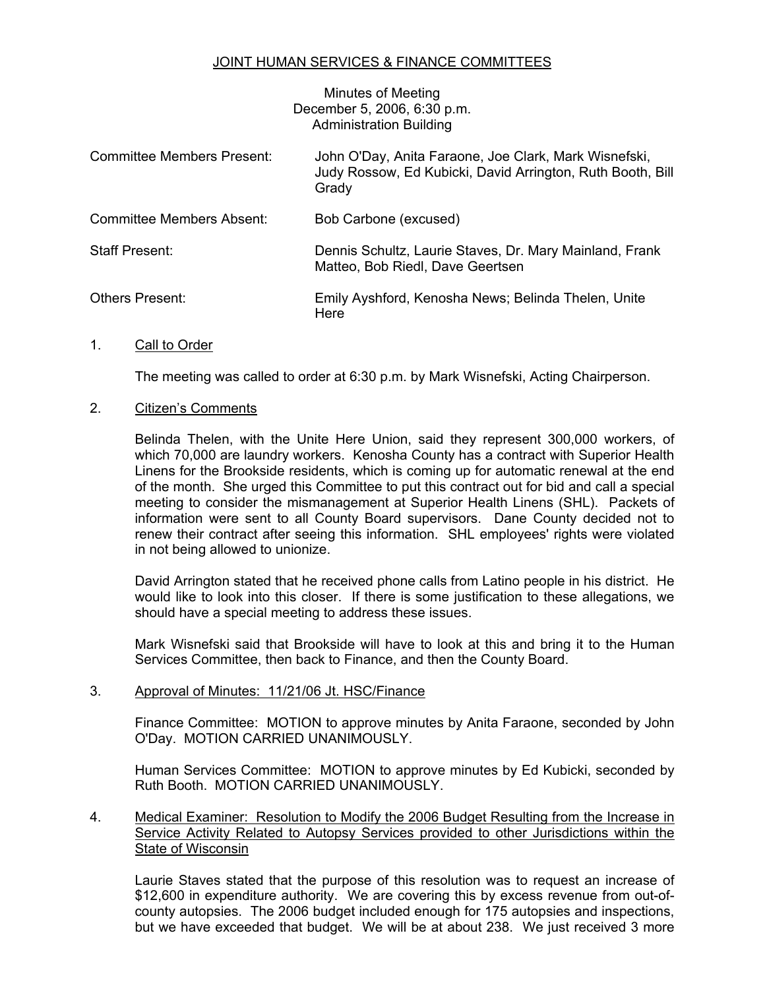# JOINT HUMAN SERVICES & FINANCE COMMITTEES

Minutes of Meeting December 5, 2006, 6:30 p.m. Administration Building

| <b>Committee Members Present:</b> | John O'Day, Anita Faraone, Joe Clark, Mark Wisnefski,<br>Judy Rossow, Ed Kubicki, David Arrington, Ruth Booth, Bill<br>Grady |
|-----------------------------------|------------------------------------------------------------------------------------------------------------------------------|
| Committee Members Absent:         | Bob Carbone (excused)                                                                                                        |
| Staff Present:                    | Dennis Schultz, Laurie Staves, Dr. Mary Mainland, Frank<br>Matteo, Bob Riedl, Dave Geertsen                                  |
| <b>Others Present:</b>            | Emily Ayshford, Kenosha News; Belinda Thelen, Unite<br>Here                                                                  |

## 1. Call to Order

The meeting was called to order at 6:30 p.m. by Mark Wisnefski, Acting Chairperson.

## 2. Citizen's Comments

Belinda Thelen, with the Unite Here Union, said they represent 300,000 workers, of which 70,000 are laundry workers. Kenosha County has a contract with Superior Health Linens for the Brookside residents, which is coming up for automatic renewal at the end of the month. She urged this Committee to put this contract out for bid and call a special meeting to consider the mismanagement at Superior Health Linens (SHL). Packets of information were sent to all County Board supervisors. Dane County decided not to renew their contract after seeing this information. SHL employees' rights were violated in not being allowed to unionize.

David Arrington stated that he received phone calls from Latino people in his district. He would like to look into this closer. If there is some justification to these allegations, we should have a special meeting to address these issues.

Mark Wisnefski said that Brookside will have to look at this and bring it to the Human Services Committee, then back to Finance, and then the County Board.

#### 3. Approval of Minutes: 11/21/06 Jt. HSC/Finance

Finance Committee: MOTION to approve minutes by Anita Faraone, seconded by John O'Day. MOTION CARRIED UNANIMOUSLY.

Human Services Committee: MOTION to approve minutes by Ed Kubicki, seconded by Ruth Booth. MOTION CARRIED UNANIMOUSLY.

## 4. Medical Examiner: Resolution to Modify the 2006 Budget Resulting from the Increase in Service Activity Related to Autopsy Services provided to other Jurisdictions within the State of Wisconsin

Laurie Staves stated that the purpose of this resolution was to request an increase of \$12,600 in expenditure authority. We are covering this by excess revenue from out-ofcounty autopsies. The 2006 budget included enough for 175 autopsies and inspections, but we have exceeded that budget. We will be at about 238. We just received 3 more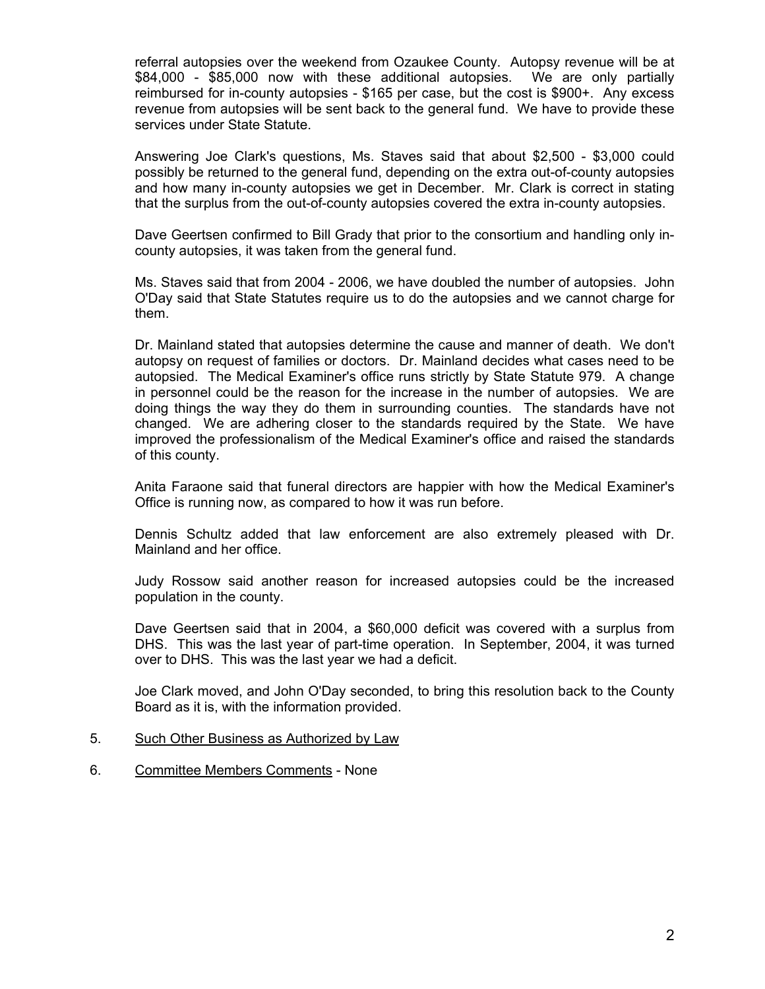referral autopsies over the weekend from Ozaukee County. Autopsy revenue will be at \$84,000 - \$85,000 now with these additional autopsies. We are only partially reimbursed for in-county autopsies - \$165 per case, but the cost is \$900+. Any excess revenue from autopsies will be sent back to the general fund. We have to provide these services under State Statute.

Answering Joe Clark's questions, Ms. Staves said that about \$2,500 - \$3,000 could possibly be returned to the general fund, depending on the extra out-of-county autopsies and how many in-county autopsies we get in December. Mr. Clark is correct in stating that the surplus from the out-of-county autopsies covered the extra in-county autopsies.

Dave Geertsen confirmed to Bill Grady that prior to the consortium and handling only incounty autopsies, it was taken from the general fund.

Ms. Staves said that from 2004 - 2006, we have doubled the number of autopsies. John O'Day said that State Statutes require us to do the autopsies and we cannot charge for them.

Dr. Mainland stated that autopsies determine the cause and manner of death. We don't autopsy on request of families or doctors. Dr. Mainland decides what cases need to be autopsied. The Medical Examiner's office runs strictly by State Statute 979. A change in personnel could be the reason for the increase in the number of autopsies. We are doing things the way they do them in surrounding counties. The standards have not changed. We are adhering closer to the standards required by the State. We have improved the professionalism of the Medical Examiner's office and raised the standards of this county.

Anita Faraone said that funeral directors are happier with how the Medical Examiner's Office is running now, as compared to how it was run before.

Dennis Schultz added that law enforcement are also extremely pleased with Dr. Mainland and her office.

Judy Rossow said another reason for increased autopsies could be the increased population in the county.

Dave Geertsen said that in 2004, a \$60,000 deficit was covered with a surplus from DHS. This was the last year of part-time operation. In September, 2004, it was turned over to DHS. This was the last year we had a deficit.

Joe Clark moved, and John O'Day seconded, to bring this resolution back to the County Board as it is, with the information provided.

- 5. Such Other Business as Authorized by Law
- 6. Committee Members Comments None